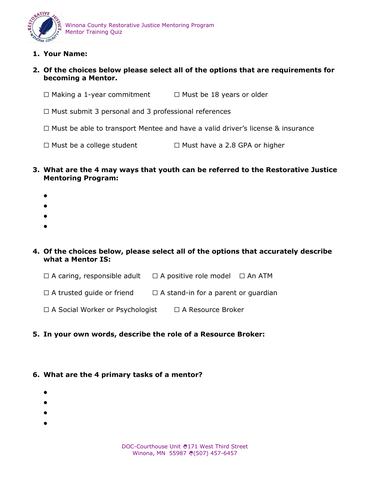

**1. Your Name:** 

### **2. Of the choices below please select all of the options that are requirements for becoming a Mentor.**

- ☐ Making a 1-year commitment ☐ Must be 18 years or older
- ☐ Must submit 3 personal and 3 professional references
- ☐ Must be able to transport Mentee and have a valid driver's license & insurance
- ☐ Must be a college student ☐ Must have a 2.8 GPA or higher
- **3. What are the 4 may ways that youth can be referred to the Restorative Justice Mentoring Program:** 
	- $\bullet$
	-
	- $\bullet$
	- $\bullet$
	- $\bullet$
- **4. Of the choices below, please select all of the options that accurately describe what a Mentor IS:**
	- ☐ A caring, responsible adult ☐ A positive role model ☐ An ATM
	- $\Box$  A trusted guide or friend  $\Box$  A stand-in for a parent or guardian
	- ☐ A Social Worker or Psychologist ☐ A Resource Broker

#### **5. In your own words, describe the role of a Resource Broker:**

#### **6. What are the 4 primary tasks of a mentor?**

- $\bullet$
- $\bullet$
- $\bullet$
- $\bullet$
- DOC-Courthouse Unit ₩171 West Third Street Winona, MN 55987 (507) 457-6457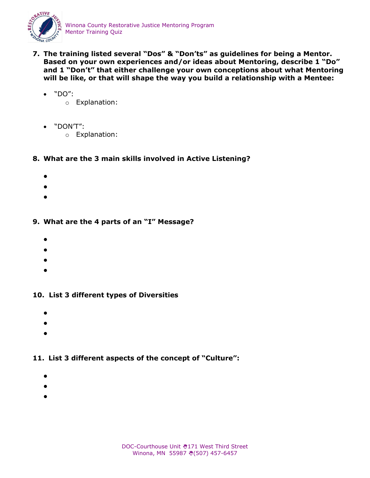

- **7. The training listed several "Dos" & "Don'ts" as guidelines for being a Mentor. Based on your own experiences and/or ideas about Mentoring, describe 1 "Do" and 1 "Don't" that either challenge your own conceptions about what Mentoring will be like, or that will shape the way you build a relationship with a Mentee:** 
	- $\bullet$  "DO":
		- o Explanation:
	- "DON'T":
		- o Explanation:
- **8. What are the 3 main skills involved in Active Listening?**
	- $\bullet$
	- $\bullet$
	- $\bullet$

## **9. What are the 4 parts of an "I" Message?**

- $\bullet$
- $\bullet$
- $\bullet$
- $\bullet$
- 

### **10. List 3 different types of Diversities**

- $\bullet$
- $\bullet$
- $\bullet$

# **11. List 3 different aspects of the concept of "Culture":**

- $\bullet$
- $\bullet$
- $\bullet$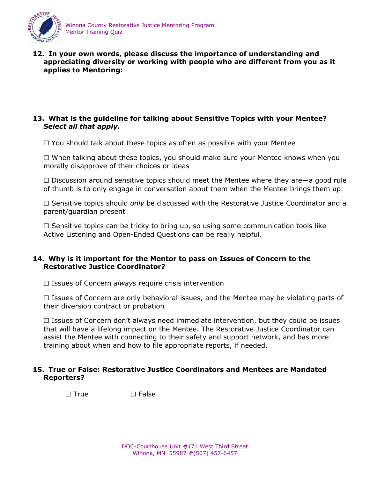

**12. In your own words, please discuss the importance of understanding and appreciating diversity or working with people who are different from you as it applies to Mentoring:**

### **13. What is the guideline for talking about Sensitive Topics with your Mentee?**  *Select all that apply.*

☐ You should talk about these topics as often as possible with your Mentee

☐ When talking about these topics, you should make sure your Mentee knows when you morally disapprove of their choices or ideas

 $\Box$  Discussion around sensitive topics should meet the Mentee where they are—a good rule of thumb is to only engage in conversation about them when the Mentee brings them up.

☐ Sensitive topics should *only* be discussed with the Restorative Justice Coordinator and a parent/guardian present

 $\Box$  Sensitive topics can be tricky to bring up, so using some communication tools like Active Listening and Open-Ended Questions can be really helpful.

#### **14. Why is it important for the Mentor to pass on Issues of Concern to the Restorative Justice Coordinator?**

☐ Issues of Concern *always* require crisis intervention

□ Issues of Concern are only behavioral issues, and the Mentee may be violating parts of their diversion contract or probation

□ Issues of Concern don't always need immediate intervention, but they could be issues that will have a lifelong impact on the Mentee. The Restorative Justice Coordinator can assist the Mentee with connecting to their safety and support network, and has more training about when and how to file appropriate reports, if needed.

### **15. True or False: Restorative Justice Coordinators and Mentees are Mandated Reporters?**

☐ True ☐ False